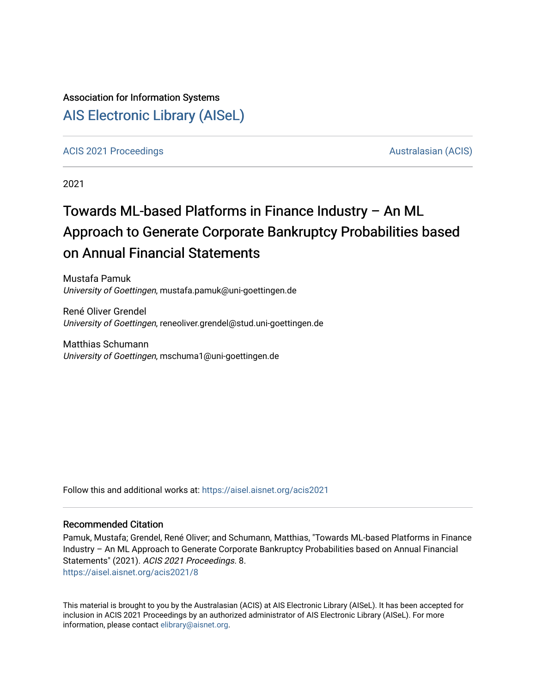## Association for Information Systems

## [AIS Electronic Library \(AISeL\)](https://aisel.aisnet.org/)

#### [ACIS 2021 Proceedings](https://aisel.aisnet.org/acis2021) [Australasian \(ACIS\)](https://aisel.aisnet.org/acis) Australasian (ACIS)

2021

# Towards ML-based Platforms in Finance Industry – An ML Approach to Generate Corporate Bankruptcy Probabilities based on Annual Financial Statements

Mustafa Pamuk University of Goettingen, mustafa.pamuk@uni-goettingen.de

René Oliver Grendel University of Goettingen, reneoliver.grendel@stud.uni-goettingen.de

Matthias Schumann University of Goettingen, mschuma1@uni-goettingen.de

Follow this and additional works at: [https://aisel.aisnet.org/acis2021](https://aisel.aisnet.org/acis2021?utm_source=aisel.aisnet.org%2Facis2021%2F8&utm_medium=PDF&utm_campaign=PDFCoverPages) 

#### Recommended Citation

Pamuk, Mustafa; Grendel, René Oliver; and Schumann, Matthias, "Towards ML-based Platforms in Finance Industry – An ML Approach to Generate Corporate Bankruptcy Probabilities based on Annual Financial Statements" (2021). ACIS 2021 Proceedings. 8. [https://aisel.aisnet.org/acis2021/8](https://aisel.aisnet.org/acis2021/8?utm_source=aisel.aisnet.org%2Facis2021%2F8&utm_medium=PDF&utm_campaign=PDFCoverPages) 

This material is brought to you by the Australasian (ACIS) at AIS Electronic Library (AISeL). It has been accepted for inclusion in ACIS 2021 Proceedings by an authorized administrator of AIS Electronic Library (AISeL). For more information, please contact [elibrary@aisnet.org.](mailto:elibrary@aisnet.org%3E)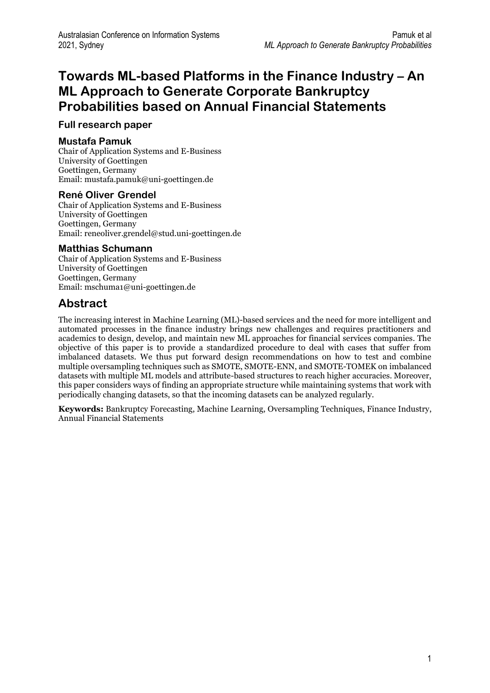## **Towards ML-based Platforms in the Finance Industry – An ML Approach to Generate Corporate Bankruptcy Probabilities based on Annual Financial Statements**

#### **Full research paper**

#### **Mustafa Pamuk**

Chair of Application Systems and E-Business University of Goettingen Goettingen, Germany Email: mustafa.pamuk@uni-goettingen.de

#### **René Oliver Grendel**

Chair of Application Systems and E-Business University of Goettingen Goettingen, Germany Email: reneoliver.grendel@stud.uni-goettingen.de

#### **Matthias Schumann**

Chair of Application Systems and E-Business University of Goettingen Goettingen, Germany Email: mschuma1@uni-goettingen.de

## **Abstract**

The increasing interest in Machine Learning (ML)-based services and the need for more intelligent and automated processes in the finance industry brings new challenges and requires practitioners and academics to design, develop, and maintain new ML approaches for financial services companies. The objective of this paper is to provide a standardized procedure to deal with cases that suffer from imbalanced datasets. We thus put forward design recommendations on how to test and combine multiple oversampling techniques such as SMOTE, SMOTE-ENN, and SMOTE-TOMEK on imbalanced datasets with multiple ML models and attribute-based structures to reach higher accuracies. Moreover, this paper considers ways of finding an appropriate structure while maintaining systems that work with periodically changing datasets, so that the incoming datasets can be analyzed regularly.

**Keywords:** Bankruptcy Forecasting, Machine Learning, Oversampling Techniques, Finance Industry, Annual Financial Statements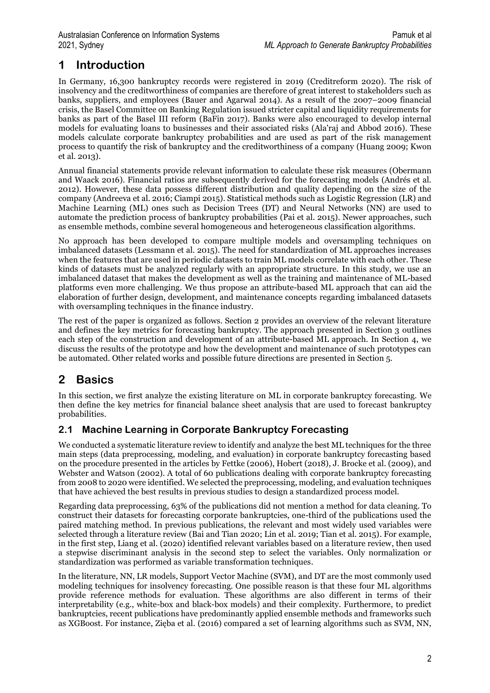## **1 Introduction**

In Germany, 16,300 bankruptcy records were registered in 2019 (Creditreform 2020). The risk of insolvency and the creditworthiness of companies are therefore of great interest to stakeholders such as banks, suppliers, and employees (Bauer and Agarwal 2014). As a result of the 2007–2009 financial crisis, the Basel Committee on Banking Regulation issued stricter capital and liquidity requirements for banks as part of the Basel III reform (BaFin 2017). Banks were also encouraged to develop internal models for evaluating loans to businesses and their associated risks (Ala'raj and Abbod 2016). These models calculate corporate bankruptcy probabilities and are used as part of the risk management process to quantify the risk of bankruptcy and the creditworthiness of a company (Huang 2009; Kwon et al. 2013).

Annual financial statements provide relevant information to calculate these risk measures (Obermann and Waack 2016). Financial ratios are subsequently derived for the forecasting models (Andrés et al. 2012). However, these data possess different distribution and quality depending on the size of the company (Andreeva et al. 2016; Ciampi 2015). Statistical methods such as Logistic Regression (LR) and Machine Learning (ML) ones such as Decision Trees (DT) and Neural Networks (NN) are used to automate the prediction process of bankruptcy probabilities (Pai et al. 2015). Newer approaches, such as ensemble methods, combine several homogeneous and heterogeneous classification algorithms.

No approach has been developed to compare multiple models and oversampling techniques on imbalanced datasets (Lessmann et al. 2015). The need for standardization of ML approaches increases when the features that are used in periodic datasets to train ML models correlate with each other. These kinds of datasets must be analyzed regularly with an appropriate structure. In this study, we use an imbalanced dataset that makes the development as well as the training and maintenance of ML-based platforms even more challenging. We thus propose an attribute-based ML approach that can aid the elaboration of further design, development, and maintenance concepts regarding imbalanced datasets with oversampling techniques in the finance industry.

The rest of the paper is organized as follows. Section 2 provides an overview of the relevant literature and defines the key metrics for forecasting bankruptcy. The approach presented in Section 3 outlines each step of the construction and development of an attribute-based ML approach. In Section 4, we discuss the results of the prototype and how the development and maintenance of such prototypes can be automated. Other related works and possible future directions are presented in Section 5.

## **2 Basics**

In this section, we first analyze the existing literature on ML in corporate bankruptcy forecasting. We then define the key metrics for financial balance sheet analysis that are used to forecast bankruptcy probabilities.

### **2.1 Machine Learning in Corporate Bankruptcy Forecasting**

We conducted a systematic literature review to identify and analyze the best ML techniques for the three main steps (data preprocessing, modeling, and evaluation) in corporate bankruptcy forecasting based on the procedure presented in the articles by Fettke (2006), Hobert (2018), J. Brocke et al. (2009), and Webster and Watson (2002). A total of 60 publications dealing with corporate bankruptcy forecasting from 2008 to 2020 were identified. We selected the preprocessing, modeling, and evaluation techniques that have achieved the best results in previous studies to design a standardized process model.

Regarding data preprocessing, 63% of the publications did not mention a method for data cleaning. To construct their datasets for forecasting corporate bankruptcies, one-third of the publications used the paired matching method. In previous publications, the relevant and most widely used variables were selected through a literature review (Bai and Tian 2020; Lin et al. 2019; Tian et al. 2015). For example, in the first step, Liang et al. (2020) identified relevant variables based on a literature review, then used a stepwise discriminant analysis in the second step to select the variables. Only normalization or standardization was performed as variable transformation techniques.

In the literature, NN, LR models, Support Vector Machine (SVM), and DT are the most commonly used modeling techniques for insolvency forecasting. One possible reason is that these four ML algorithms provide reference methods for evaluation. These algorithms are also different in terms of their interpretability (e.g., white-box and black-box models) and their complexity. Furthermore, to predict bankruptcies, recent publications have predominantly applied ensemble methods and frameworks such as XGBoost. For instance, Zięba et al. (2016) compared a set of learning algorithms such as SVM, NN,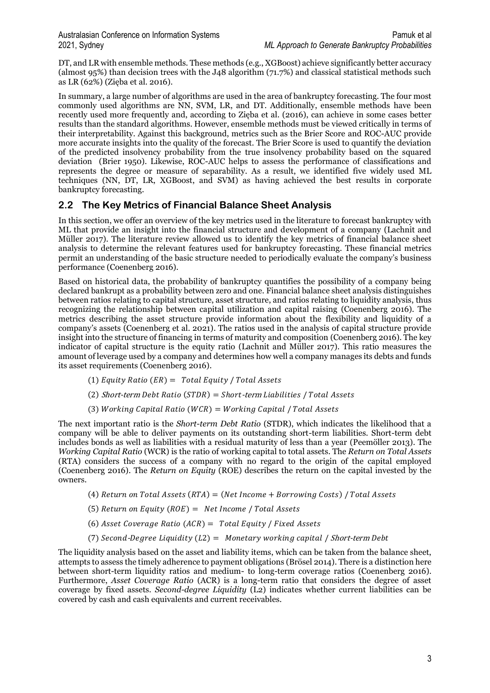DT, and LR with ensemble methods. These methods (e.g., XGBoost) achieve significantly better accuracy (almost 95%) than decision trees with the J48 algorithm (71.7%) and classical statistical methods such as LR (62%) (Zięba et al. 2016).

In summary, a large number of algorithms are used in the area of bankruptcy forecasting. The four most commonly used algorithms are NN, SVM, LR, and DT. Additionally, ensemble methods have been recently used more frequently and, according to Zięba et al. (2016), can achieve in some cases better results than the standard algorithms. However, ensemble methods must be viewed critically in terms of their interpretability. Against this background, metrics such as the Brier Score and ROC-AUC provide more accurate insights into the quality of the forecast. The Brier Score is used to quantify the deviation of the predicted insolvency probability from the true insolvency probability based on the squared deviation (Brier 1950). Likewise, ROC-AUC helps to assess the performance of classifications and represents the degree or measure of separability. As a result, we identified five widely used ML techniques (NN, DT, LR, XGBoost, and SVM) as having achieved the best results in corporate bankruptcy forecasting.

#### **2.2 The Key Metrics of Financial Balance Sheet Analysis**

In this section, we offer an overview of the key metrics used in the literature to forecast bankruptcy with ML that provide an insight into the financial structure and development of a company (Lachnit and Müller 2017). The literature review allowed us to identify the key metrics of financial balance sheet analysis to determine the relevant features used for bankruptcy forecasting. These financial metrics permit an understanding of the basic structure needed to periodically evaluate the company's business performance (Coenenberg 2016).

Based on historical data, the probability of bankruptcy quantifies the possibility of a company being declared bankrupt as a probability between zero and one. Financial balance sheet analysis distinguishes between ratios relating to capital structure, asset structure, and ratios relating to liquidity analysis, thus recognizing the relationship between capital utilization and capital raising (Coenenberg 2016). The metrics describing the asset structure provide information about the flexibility and liquidity of a company's assets (Coenenberg et al. 2021). The ratios used in the analysis of capital structure provide insight into the structure of financing in terms of maturity and composition (Coenenberg 2016). The key indicator of capital structure is the equity ratio (Lachnit and Müller 2017). This ratio measures the amount of leverage used by a company and determines how well a company manages its debts and funds its asset requirements (Coenenberg 2016).

- (1) Equity Ratio  $(ER) = Total Equity / Total Assets$
- (2)  $Short-term \t Debt \t Ratio \t (STDR) = Short-term \t Liabilities / Total \t Assets$
- (3) Working Capital Ratio (WCR) =  $Working$  Capital / Total Assets

The next important ratio is the *Short-term Debt Ratio* (STDR), which indicates the likelihood that a company will be able to deliver payments on its outstanding short-term liabilities. Short-term debt includes bonds as well as liabilities with a residual maturity of less than a year (Peemöller 2013). The *Working Capital Ratio* (WCR) is the ratio of working capital to total assets. The *Return on Total Assets* (RTA) considers the success of a company with no regard to the origin of the capital employed (Coenenberg 2016). The *Return on Equity* (ROE) describes the return on the capital invested by the owners.

- (4) Return on Total Assets  $(RTA) = (Net Income + Borrowing Costs) / Total Assets$
- (5) Return on Equity  $(ROE) = Net Income / Total Assets$
- (6) Asset Coverage Ratio (ACR) =  $Total Equity / Fixed Assets$
- (7) Second-Dearee Liauidity  $(L2) =$  Monetary working capital / Short-term Debt

The liquidity analysis based on the asset and liability items, which can be taken from the balance sheet, attempts to assess the timely adherence to payment obligations (Brösel 2014). There is a distinction here between short-term liquidity ratios and medium- to long-term coverage ratios (Coenenberg 2016). Furthermore, *Asset Coverage Ratio* (ACR) is a long-term ratio that considers the degree of asset coverage by fixed assets. *Second-degree Liquidity* (L2) indicates whether current liabilities can be covered by cash and cash equivalents and current receivables.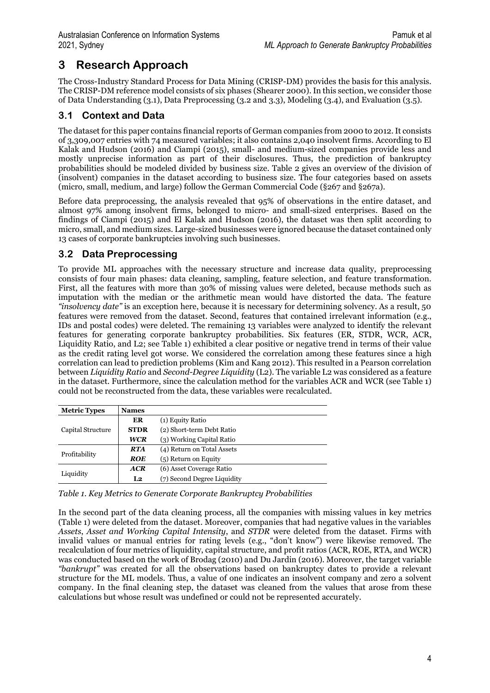## **3 Research Approach**

The Cross-Industry Standard Process for Data Mining (CRISP-DM) provides the basis for this analysis. The CRISP-DM reference model consists of six phases (Shearer 2000). In this section, we consider those of Data Understanding (3.1), Data Preprocessing (3.2 and 3.3), Modeling (3.4), and Evaluation (3.5).

### **3.1 Context and Data**

The dataset for this paper contains financial reports of German companies from 2000 to 2012. It consists of 3,309,007 entries with 74 measured variables; it also contains 2,040 insolvent firms. According to El Kalak and Hudson (2016) and Ciampi (2015), small- and medium-sized companies provide less and mostly unprecise information as part of their disclosures. Thus, the prediction of bankruptcy probabilities should be modeled divided by business size. [Table 2](#page-5-0) gives an overview of the division of (insolvent) companies in the dataset according to business size. The four categories based on assets (micro, small, medium, and large) follow the German Commercial Code (§267 and §267a).

Before data preprocessing, the analysis revealed that 95% of observations in the entire dataset, and almost 97% among insolvent firms, belonged to micro- and small-sized enterprises. Based on the findings of Ciampi (2015) and El Kalak and Hudson (2016), the dataset was then split according to micro, small, and medium sizes. Large-sized businesses were ignored because the dataset contained only 13 cases of corporate bankruptcies involving such businesses.

### **3.2 Data Preprocessing**

To provide ML approaches with the necessary structure and increase data quality, preprocessing consists of four main phases: data cleaning, sampling, feature selection, and feature transformation. First, all the features with more than 30% of missing values were deleted, because methods such as imputation with the median or the arithmetic mean would have distorted the data. The feature *"insolvency date"* is an exception here, because it is necessary for determining solvency. As a result, 50 features were removed from the dataset. Second, features that contained irrelevant information (e.g., IDs and postal codes) were deleted. The remaining 13 variables were analyzed to identify the relevant features for generating corporate bankruptcy probabilities. Six features (ER, STDR, WCR, ACR, Liquidity Ratio, and L2; see [Table 1\)](#page-4-0) exhibited a clear positive or negative trend in terms of their value as the credit rating level got worse. We considered the correlation among these features since a high correlation can lead to prediction problems (Kim and Kang 2012). This resulted in a Pearson correlation between *Liquidity Ratio* and *Second-Degree Liquidity* (L2). The variable L2 was considered as a feature in the dataset. Furthermore, since the calculation method for the variables ACR and WCR (see [Table 1\)](#page-4-0) could not be reconstructed from the data, these variables were recalculated.

| <b>Metric Types</b> | <b>Names</b>   |                             |
|---------------------|----------------|-----------------------------|
|                     | ER             | (1) Equity Ratio            |
| Capital Structure   | <b>STDR</b>    | (2) Short-term Debt Ratio   |
|                     | <b>WCR</b>     | (3) Working Capital Ratio   |
| Profitability       | <b>RTA</b>     | (4) Return on Total Assets  |
|                     | ROE            | $(5)$ Return on Equity      |
| Liquidity           | <b>ACR</b>     | (6) Asset Coverage Ratio    |
|                     | L <sub>2</sub> | (7) Second Degree Liquidity |

<span id="page-4-0"></span>*Table 1. Key Metrics to Generate Corporate Bankruptcy Probabilities*

In the second part of the data cleaning process, all the companies with missing values in key metrics [\(Table 1\)](#page-4-0) were deleted from the dataset. Moreover, companies that had negative values in the variables *Assets*, *Asset and Working Capital Intensity*, and *STDR* were deleted from the dataset. Firms with invalid values or manual entries for rating levels (e.g., "don't know") were likewise removed. The recalculation of four metrics of liquidity, capital structure, and profit ratios (ACR, ROE, RTA, and WCR) was conducted based on the work of Brodag (2010) and Du Jardin (2016). Moreover, the target variable *"bankrupt"* was created for all the observations based on bankruptcy dates to provide a relevant structure for the ML models. Thus, a value of one indicates an insolvent company and zero a solvent company. In the final cleaning step, the dataset was cleaned from the values that arose from these calculations but whose result was undefined or could not be represented accurately.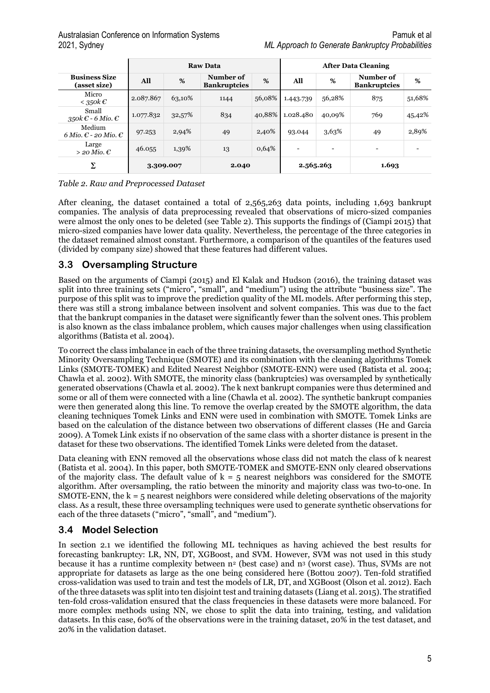|                                                  |                                                   |        | <b>Raw Data</b> | <b>After Data Cleaning</b> |                          |                          |                                  |        |  |  |
|--------------------------------------------------|---------------------------------------------------|--------|-----------------|----------------------------|--------------------------|--------------------------|----------------------------------|--------|--|--|
| <b>Business Size</b><br>(asset size)             | Number of<br>%<br>All<br>%<br><b>Bankruptcies</b> |        |                 |                            | All                      | %                        | Number of<br><b>Bankruptcies</b> | %      |  |  |
| Micro<br>$<$ 350 $k$ $\in$                       | 2.087.867                                         | 63,10% | 1144            | 56,08%                     | 1.443.739                | 56,28%                   | 875                              | 51,68% |  |  |
| Small<br>350k $\epsilon$ - 6 Mio. $\epsilon$     | 1.077.832                                         | 32,57% | 834             | 40,88%                     | 1.028.480                | 40,09%                   | 769                              | 45,42% |  |  |
| Medium<br>6 Mio. $\epsilon$ - 20 Mio. $\epsilon$ | 97.253                                            | 2,94%  | 49              | 2,40%                      | 93.044                   | 3,63%                    | 49                               | 2,89%  |  |  |
| Large<br>$>$ 20 Mio. $\epsilon$                  | 46.055                                            | 1,39%  | 13              | 0,64%                      | $\overline{\phantom{0}}$ | $\overline{\phantom{0}}$ | $\overline{\phantom{0}}$         |        |  |  |
| Σ                                                | 3.309.007                                         |        | 2.040           |                            | 2.565.263                |                          | 1.693                            |        |  |  |

<span id="page-5-0"></span>*Table 2. Raw and Preprocessed Dataset*

After cleaning, the dataset contained a total of 2,565,263 data points, including 1,693 bankrupt companies. The analysis of data preprocessing revealed that observations of micro-sized companies were almost the only ones to be deleted (see [Table 2\)](#page-5-0). This supports the findings of (Ciampi 2015) that micro-sized companies have lower data quality. Nevertheless, the percentage of the three categories in the dataset remained almost constant. Furthermore, a comparison of the quantiles of the features used (divided by company size) showed that these features had different values.

#### **3.3 Oversampling Structure**

Based on the arguments of Ciampi (2015) and El Kalak and Hudson (2016), the training dataset was split into three training sets ("micro", "small", and "medium") using the attribute "business size". The purpose of this split was to improve the prediction quality of the ML models. After performing this step, there was still a strong imbalance between insolvent and solvent companies. This was due to the fact that the bankrupt companies in the dataset were significantly fewer than the solvent ones. This problem is also known as the class imbalance problem, which causes major challenges when using classification algorithms (Batista et al. 2004).

To correct the class imbalance in each of the three training datasets, the oversampling method Synthetic Minority Oversampling Technique (SMOTE) and its combination with the cleaning algorithms Tomek Links (SMOTE-TOMEK) and Edited Nearest Neighbor (SMOTE-ENN) were used (Batista et al. 2004; Chawla et al. 2002). With SMOTE, the minority class (bankruptcies) was oversampled by synthetically generated observations (Chawla et al. 2002). The k next bankrupt companies were thus determined and some or all of them were connected with a line (Chawla et al. 2002). The synthetic bankrupt companies were then generated along this line. To remove the overlap created by the SMOTE algorithm, the data cleaning techniques Tomek Links and ENN were used in combination with SMOTE. Tomek Links are based on the calculation of the distance between two observations of different classes (He and Garcia 2009). A Tomek Link exists if no observation of the same class with a shorter distance is present in the dataset for these two observations. The identified Tomek Links were deleted from the dataset.

Data cleaning with ENN removed all the observations whose class did not match the class of k nearest (Batista et al. 2004). In this paper, both SMOTE-TOMEK and SMOTE-ENN only cleared observations of the majority class. The default value of  $k = 5$  nearest neighbors was considered for the SMOTE algorithm. After oversampling, the ratio between the minority and majority class was two-to-one. In SMOTE-ENN, the  $k = 5$  nearest neighbors were considered while deleting observations of the majority class. As a result, these three oversampling techniques were used to generate synthetic observations for each of the three datasets ("micro", "small", and "medium").

### **3.4 Model Selection**

In section 2.1 we identified the following ML techniques as having achieved the best results for forecasting bankruptcy: LR, NN, DT, XGBoost, and SVM. However, SVM was not used in this study because it has a runtime complexity between  $n^2$  (best case) and  $n^3$  (worst case). Thus, SVMs are not appropriate for datasets as large as the one being considered here (Bottou 2007). Ten-fold stratified cross-validation was used to train and test the models of LR, DT, and XGBoost (Olson et al. 2012). Each of the three datasets was split into ten disjoint test and training datasets (Liang et al. 2015). The stratified ten-fold cross-validation ensured that the class frequencies in these datasets were more balanced. For more complex methods using NN, we chose to split the data into training, testing, and validation datasets. In this case, 60% of the observations were in the training dataset, 20% in the test dataset, and 20% in the validation dataset.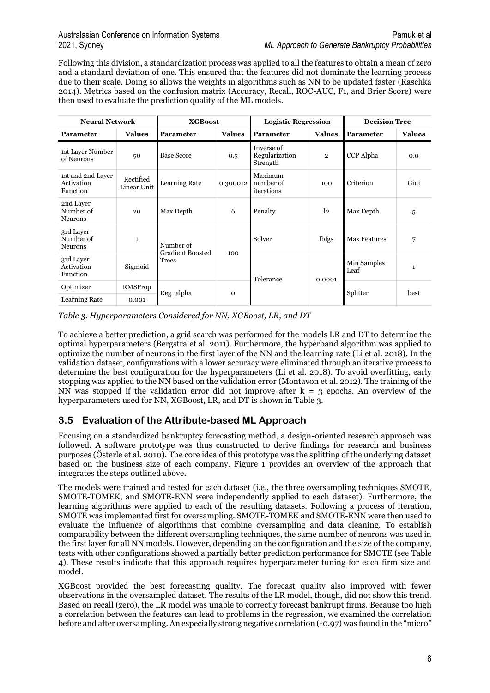Following this division, a standardization process was applied to all the features to obtain a mean of zero and a standard deviation of one. This ensured that the features did not dominate the learning process due to their scale. Doing so allows the weights in algorithms such as NN to be updated faster (Raschka 2014). Metrics based on the confusion matrix (Accuracy, Recall, ROC-AUC, F1, and Brier Score) were then used to evaluate the prediction quality of the ML models.

| <b>Neural Network</b>                              |                          | <b>XGBoost</b>                       |               | <b>Logistic Regression</b>               |                | <b>Decision Tree</b> |               |  |
|----------------------------------------------------|--------------------------|--------------------------------------|---------------|------------------------------------------|----------------|----------------------|---------------|--|
| Parameter                                          | <b>Values</b>            | <b>Parameter</b>                     | <b>Values</b> | <b>Values</b><br><b>Parameter</b>        |                | <b>Parameter</b>     | <b>Values</b> |  |
| 1st Layer Number<br>of Neurons                     | 50                       | <b>Base Score</b>                    | 0.5           | Inverse of<br>Regularization<br>Strength | $\overline{2}$ | CCP Alpha            | 0.0           |  |
| 1st and 2nd Layer<br>Activation<br><b>Function</b> | Rectified<br>Linear Unit | Learning Rate                        | 0.300012      | Maximum<br>number of<br>iterations       | 100            | Criterion            | Gini          |  |
| 2nd Layer<br>Number of<br><b>Neurons</b>           | 20                       | Max Depth<br>6                       |               | Penalty                                  | 12             | Max Depth            | 5             |  |
| 3rd Layer<br>Number of<br><b>Neurons</b>           | $\mathbf{1}$             | Number of<br><b>Gradient Boosted</b> |               | Solver                                   | lbfgs          | <b>Max Features</b>  | 7             |  |
| 3rd Layer<br>Activation<br>Function                | Sigmoid                  | <b>Trees</b>                         | 100           | Tolerance                                | 0.0001         | Min Samples<br>Leaf  | $\mathbf{1}$  |  |
| Optimizer                                          | RMSProp                  |                                      |               |                                          |                | Splitter             | best          |  |
| Learning Rate                                      | 0.001                    | Reg alpha                            | $\mathbf 0$   |                                          |                |                      |               |  |

<span id="page-6-0"></span>*Table 3. Hyperparameters Considered for NN, XGBoost, LR, and DT*

To achieve a better prediction, a grid search was performed for the models LR and DT to determine the optimal hyperparameters (Bergstra et al. 2011). Furthermore, the hyperband algorithm was applied to optimize the number of neurons in the first layer of the NN and the learning rate (Li et al. 2018). In the validation dataset, configurations with a lower accuracy were eliminated through an iterative process to determine the best configuration for the hyperparameters (Li et al. 2018). To avoid overfitting, early stopping was applied to the NN based on the validation error (Montavon et al. 2012). The training of the NN was stopped if the validation error did not improve after  $k = 3$  epochs. An overview of the hyperparameters used for NN, XGBoost, LR, and DT is shown in [Table 3.](#page-6-0)

### **3.5 Evaluation of the Attribute-based ML Approach**

Focusing on a standardized bankruptcy forecasting method, a design-oriented research approach was followed. A software prototype was thus constructed to derive findings for research and business purposes (Österle et al. 2010). The core idea of this prototype was the splitting of the underlying dataset based on the business size of each company. [Figure 1](#page-7-0) provides an overview of the approach that integrates the steps outlined above.

The models were trained and tested for each dataset (i.e., the three oversampling techniques SMOTE, SMOTE-TOMEK, and SMOTE-ENN were independently applied to each dataset). Furthermore, the learning algorithms were applied to each of the resulting datasets. Following a process of iteration, SMOTE was implemented first for oversampling. SMOTE-TOMEK and SMOTE-ENN were then used to evaluate the influence of algorithms that combine oversampling and data cleaning. To establish comparability between the different oversampling techniques, the same number of neurons was used in the first layer for all NN models. However, depending on the configuration and the size of the company, tests with other configurations showed a partially better prediction performance for SMOTE (see [Table](#page-8-0)  [4\)](#page-8-0). These results indicate that this approach requires hyperparameter tuning for each firm size and model.

XGBoost provided the best forecasting quality. The forecast quality also improved with fewer observations in the oversampled dataset. The results of the LR model, though, did not show this trend. Based on recall (zero), the LR model was unable to correctly forecast bankrupt firms. Because too high a correlation between the features can lead to problems in the regression, we examined the correlation before and after oversampling. An especially strong negative correlation (-0.97) was found in the "micro"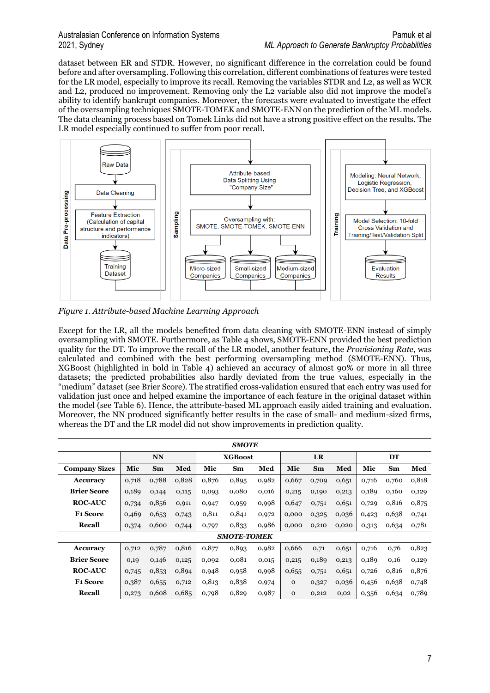dataset between ER and STDR. However, no significant difference in the correlation could be found before and after oversampling. Following this correlation, different combinations of features were tested for the LR model, especially to improve its recall. Removing the variables STDR and L2, as well as WCR and L2, produced no improvement. Removing only the L2 variable also did not improve the model's ability to identify bankrupt companies. Moreover, the forecasts were evaluated to investigate the effect of the oversampling techniques SMOTE-TOMEK and SMOTE-ENN on the prediction of the ML models. The data cleaning process based on Tomek Links did not have a strong positive effect on the results. The LR model especially continued to suffer from poor recall.



<span id="page-7-0"></span>*Figure 1. Attribute-based Machine Learning Approach*

Except for the LR, all the models benefited from data cleaning with SMOTE-ENN instead of simply oversampling with SMOTE. Furthermore, as [Table 4](#page-8-0) shows, SMOTE-ENN provided the best prediction quality for the DT. To improve the recall of the LR model, another feature, the *Provisioning Rate*, was calculated and combined with the best performing oversampling method (SMOTE-ENN). Thus, XGBoost (highlighted in bold in [Table 4\)](#page-8-0) achieved an accuracy of almost 90% or more in all three datasets; the predicted probabilities also hardly deviated from the true values, especially in the "medium" dataset (see Brier Score). The stratified cross-validation ensured that each entry was used for validation just once and helped examine the importance of each feature in the original dataset within the model (see [Table](#page-8-1) 6). Hence, the attribute-based ML approach easily aided training and evaluation. Moreover, the NN produced significantly better results in the case of small- and medium-sized firms, whereas the DT and the LR model did not show improvements in prediction quality.

| <b>SMOTE</b>         |       |           |       |                |                    |       |              |       |       |       |       |       |
|----------------------|-------|-----------|-------|----------------|--------------------|-------|--------------|-------|-------|-------|-------|-------|
|                      |       | <b>NN</b> |       | <b>XGBoost</b> |                    |       | <b>LR</b>    |       |       | DT    |       |       |
| <b>Company Sizes</b> | Mic   | Sm        | Med   | Mic            | <b>Sm</b>          | Med   | Mic          | Sm    | Med   | Mic   | Sm    | Med   |
| <b>Accuracy</b>      | 0,718 | 0,788     | 0,828 | 0,876          | 0,895              | 0,982 | 0,667        | 0,709 | 0,651 | 0,716 | 0,760 | 0,818 |
| <b>Brier Score</b>   | 0,189 | 0,144     | 0,115 | 0,093          | 0,080              | 0,016 | 0,215        | 0,190 | 0,213 | 0,189 | 0,160 | 0,129 |
| <b>ROC-AUC</b>       | 0,734 | 0,856     | 0,911 | 0,947          | 0,959              | 0,998 | 0,647        | 0,751 | 0,651 | 0,729 | 0,816 | 0,875 |
| <b>F1 Score</b>      | 0,469 | 0,653     | 0,743 | 0,811          | 0,841              | 0,972 | 0,000        | 0,325 | 0,036 | 0,423 | 0,638 | 0,741 |
| Recall               | 0,374 | 0,600     | 0,744 | 0,797          | 0,833              | 0,986 | 0,000        | 0,210 | 0,020 | 0,313 | 0,634 | 0,781 |
|                      |       |           |       |                | <b>SMOTE-TOMEK</b> |       |              |       |       |       |       |       |
| Accuracy             | 0,712 | 0,787     | 0,816 | 0,877          | 0,893              | 0,982 | 0,666        | 0,71  | 0,651 | 0,716 | 0,76  | 0,823 |
| <b>Brier Score</b>   | 0,19  | 0,146     | 0,125 | 0,092          | 0,081              | 0,015 | 0,215        | 0,189 | 0,213 | 0,189 | 0,16  | 0,129 |
| <b>ROC-AUC</b>       | 0,745 | 0,853     | 0,894 | 0,948          | 0,958              | 0,998 | 0,655        | 0,751 | 0,651 | 0,726 | 0,816 | 0,876 |
| <b>F1 Score</b>      | 0,387 | 0,655     | 0,712 | 0,813          | 0,838              | 0,974 | $\Omega$     | 0,327 | 0,036 | 0,456 | 0,638 | 0,748 |
| Recall               | 0,273 | 0,608     | 0,685 | 0,798          | 0,829              | 0,987 | $\mathbf{O}$ | 0,212 | 0,02  | 0,356 | 0,634 | 0,789 |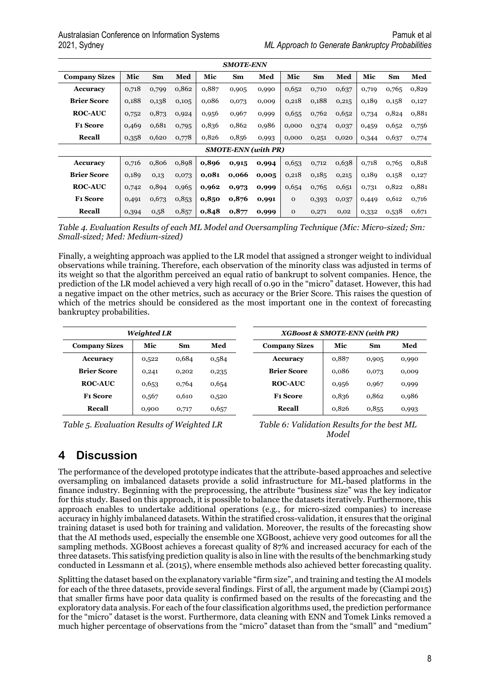| <b>SMOTE-ENN</b>     |       |           |       |       |                            |       |              |       |       |       |       |       |
|----------------------|-------|-----------|-------|-------|----------------------------|-------|--------------|-------|-------|-------|-------|-------|
| <b>Company Sizes</b> | Mic   | <b>Sm</b> | Med   | Mic   | Sm                         | Med   | Mic          | Sm    | Med   | Mic   | Sm    | Med   |
| Accuracy             | 0,718 | 0,799     | 0,862 | 0,887 | 0,905                      | 0,990 | 0,652        | 0,710 | 0,637 | 0,719 | 0,765 | 0,829 |
| <b>Brier Score</b>   | 0,188 | 0,138     | 0,105 | 0,086 | 0,073                      | 0,009 | 0,218        | 0,188 | 0,215 | 0,189 | 0,158 | 0,127 |
| <b>ROC-AUC</b>       | 0,752 | 0,873     | 0,924 | 0,956 | 0,967                      | 0,999 | 0,655        | 0,762 | 0,652 | 0,734 | 0,824 | 0,881 |
| <b>F1 Score</b>      | 0,469 | 0,681     | 0,795 | 0,836 | 0,862                      | 0,986 | 0,000        | 0,374 | 0,037 | 0,459 | 0,652 | 0,756 |
| <b>Recall</b>        | 0,358 | 0,620     | 0,778 | 0,826 | 0,856                      | 0,993 | 0,000        | 0,251 | 0,020 | 0,344 | 0,637 | 0,774 |
|                      |       |           |       |       | <b>SMOTE-ENN</b> (with PR) |       |              |       |       |       |       |       |
| Accuracy             | 0,716 | 0,806     | 0,898 | 0,896 | 0,915                      | 0,994 | 0,653        | 0,712 | 0,638 | 0,718 | 0,765 | 0,818 |
| <b>Brier Score</b>   | 0,189 | 0,13      | 0,073 | 0,081 | 0,066                      | 0,005 | 0,218        | 0,185 | 0,215 | 0,189 | 0,158 | 0,127 |
| <b>ROC-AUC</b>       | 0,742 | 0,894     | 0,965 | 0,962 | 0,973                      | 0,999 | 0,654        | 0,765 | 0,651 | 0,731 | 0,822 | 0,881 |
| <b>F1 Score</b>      | 0,491 | 0,673     | 0,853 | 0,850 | 0,876                      | 0,991 | $\mathbf{O}$ | 0,393 | 0,037 | 0,449 | 0,612 | 0,716 |
| Recall               | 0,394 | 0,58      | 0,857 | 0,848 | 0,877                      | 0,999 | $\mathbf 0$  | 0,271 | 0,02  | 0,332 | 0,538 | 0,671 |

<span id="page-8-0"></span>*Table 4. Evaluation Results of each ML Model and Oversampling Technique (Mic: Micro-sized; Sm: Small-sized; Med: Medium-sized)*

Finally, a weighting approach was applied to the LR model that assigned a stronger weight to individual observations while training. Therefore, each observation of the minority class was adjusted in terms of its weight so that the algorithm perceived an equal ratio of bankrupt to solvent companies. Hence, the prediction of the LR model achieved a very high recall of 0.90 in the "micro" dataset. However, this had a negative impact on the other metrics, such as accuracy or the Brier Score. This raises the question of which of the metrics should be considered as the most important one in the context of forecasting bankruptcy probabilities.

|                      | <b>Weighted LR</b> |       |       | XGBoost & SMOTE-ENN (with PR) |       |       |       |  |  |
|----------------------|--------------------|-------|-------|-------------------------------|-------|-------|-------|--|--|
| <b>Company Sizes</b> | Mic                | Sm    | Med   | <b>Company Sizes</b>          | Mic   | Sm    | Med   |  |  |
| Accuracy             | 0,522              | 0,684 | 0,584 | Accuracy                      | 0,887 | 0,905 | 0,990 |  |  |
| <b>Brier Score</b>   | 0,241              | 0,202 | 0,235 | <b>Brier Score</b>            | 0,086 | 0,073 | 0,000 |  |  |
| <b>ROC-AUC</b>       | 0,653              | 0,764 | 0,654 | <b>ROC-AUC</b>                | 0,956 | 0,967 | 0,999 |  |  |
| <b>F1 Score</b>      | 0,567              | 0.610 | 0,520 | <b>F1 Score</b>               | 0,836 | 0.862 | 0,986 |  |  |
| Recall               | 0,900              | 0,717 | 0,657 | Recall                        | 0,826 | 0,855 | 0,993 |  |  |

*Table 5. Evaluation Results of Weighted LR*

<span id="page-8-1"></span>

| <b>F1 Score</b>                             | 0,836 | 0,862 | 0,986 |  |  |  |  |  |
|---------------------------------------------|-------|-------|-------|--|--|--|--|--|
| Recall                                      | 0,826 | 0.855 | 0,993 |  |  |  |  |  |
| Table 6: Validation Results for the best ML |       |       |       |  |  |  |  |  |

*Model*

## **4 Discussion**

The performance of the developed prototype indicates that the attribute-based approaches and selective oversampling on imbalanced datasets provide a solid infrastructure for ML-based platforms in the finance industry. Beginning with the preprocessing, the attribute "business size" was the key indicator for this study. Based on this approach, it is possible to balance the datasets iteratively. Furthermore, this approach enables to undertake additional operations (e.g., for micro-sized companies) to increase accuracy in highly imbalanced datasets. Within the stratified cross-validation, it ensures that the original training dataset is used both for training and validation. Moreover, the results of the forecasting show that the AI methods used, especially the ensemble one XGBoost, achieve very good outcomes for all the sampling methods. XGBoost achieves a forecast quality of 87% and increased accuracy for each of the three datasets. This satisfying prediction quality is also in line with the results of the benchmarking study conducted in Lessmann et al. (2015), where ensemble methods also achieved better forecasting quality.

Splitting the dataset based on the explanatory variable "firm size", and training and testing the AI models for each of the three datasets, provide several findings. First of all, the argument made by (Ciampi 2015) that smaller firms have poor data quality is confirmed based on the results of the forecasting and the exploratory data analysis. For each of the four classification algorithms used, the prediction performance for the "micro" dataset is the worst. Furthermore, data cleaning with ENN and Tomek Links removed a much higher percentage of observations from the "micro" dataset than from the "small" and "medium"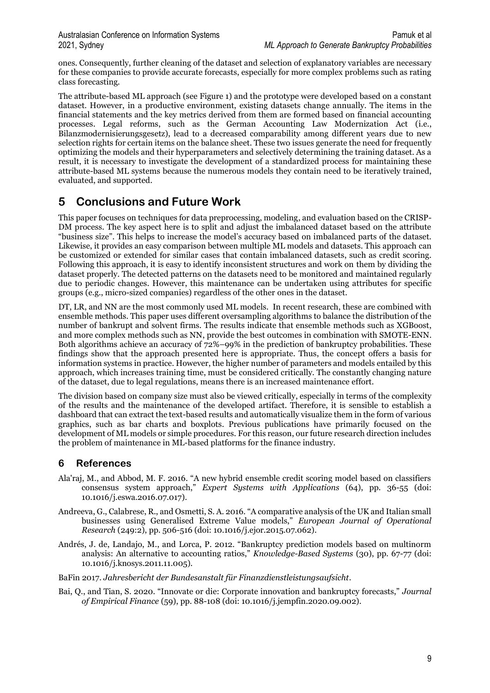ones. Consequently, further cleaning of the dataset and selection of explanatory variables are necessary for these companies to provide accurate forecasts, especially for more complex problems such as rating class forecasting.

The attribute-based ML approach (see [Figure 1\)](#page-7-0) and the prototype were developed based on a constant dataset. However, in a productive environment, existing datasets change annually. The items in the financial statements and the key metrics derived from them are formed based on financial accounting processes. Legal reforms, such as the German Accounting Law Modernization Act (i.e., Bilanzmodernisierungsgesetz), lead to a decreased comparability among different years due to new selection rights for certain items on the balance sheet. These two issues generate the need for frequently optimizing the models and their hyperparameters and selectively determining the training dataset. As a result, it is necessary to investigate the development of a standardized process for maintaining these attribute-based ML systems because the numerous models they contain need to be iteratively trained, evaluated, and supported.

## **5 Conclusions and Future Work**

This paper focuses on techniques for data preprocessing, modeling, and evaluation based on the CRISP-DM process. The key aspect here is to split and adjust the imbalanced dataset based on the attribute "business size". This helps to increase the model's accuracy based on imbalanced parts of the dataset. Likewise, it provides an easy comparison between multiple ML models and datasets. This approach can be customized or extended for similar cases that contain imbalanced datasets, such as credit scoring. Following this approach, it is easy to identify inconsistent structures and work on them by dividing the dataset properly. The detected patterns on the datasets need to be monitored and maintained regularly due to periodic changes. However, this maintenance can be undertaken using attributes for specific groups (e.g., micro-sized companies) regardless of the other ones in the dataset.

DT, LR, and NN are the most commonly used ML models. In recent research, these are combined with ensemble methods. This paper uses different oversampling algorithms to balance the distribution of the number of bankrupt and solvent firms. The results indicate that ensemble methods such as XGBoost, and more complex methods such as NN, provide the best outcomes in combination with SMOTE-ENN. Both algorithms achieve an accuracy of 72%–99% in the prediction of bankruptcy probabilities. These findings show that the approach presented here is appropriate. Thus, the concept offers a basis for information systems in practice. However, the higher number of parameters and models entailed by this approach, which increases training time, must be considered critically. The constantly changing nature of the dataset, due to legal regulations, means there is an increased maintenance effort.

The division based on company size must also be viewed critically, especially in terms of the complexity of the results and the maintenance of the developed artifact. Therefore, it is sensible to establish a dashboard that can extract the text-based results and automatically visualize them in the form of various graphics, such as bar charts and boxplots. Previous publications have primarily focused on the development of ML models or simple procedures. For this reason, our future research direction includes the problem of maintenance in ML-based platforms for the finance industry.

#### **6 References**

- Ala'raj, M., and Abbod, M. F. 2016. "A new hybrid ensemble credit scoring model based on classifiers consensus system approach," *Expert Systems with Applications* (64), pp. 36-55 (doi: 10.1016/j.eswa.2016.07.017).
- Andreeva, G., Calabrese, R., and Osmetti, S. A. 2016. "A comparative analysis of the UK and Italian small businesses using Generalised Extreme Value models," *European Journal of Operational Research* (249:2), pp. 506-516 (doi: 10.1016/j.ejor.2015.07.062).
- Andrés, J. de, Landajo, M., and Lorca, P. 2012. "Bankruptcy prediction models based on multinorm analysis: An alternative to accounting ratios," *Knowledge-Based Systems* (30), pp. 67-77 (doi: 10.1016/j.knosys.2011.11.005).

BaFin 2017. *Jahresbericht der Bundesanstalt für Finanzdienstleistungsaufsicht*.

Bai, Q., and Tian, S. 2020. "Innovate or die: Corporate innovation and bankruptcy forecasts," *Journal of Empirical Finance* (59), pp. 88-108 (doi: 10.1016/j.jempfin.2020.09.002).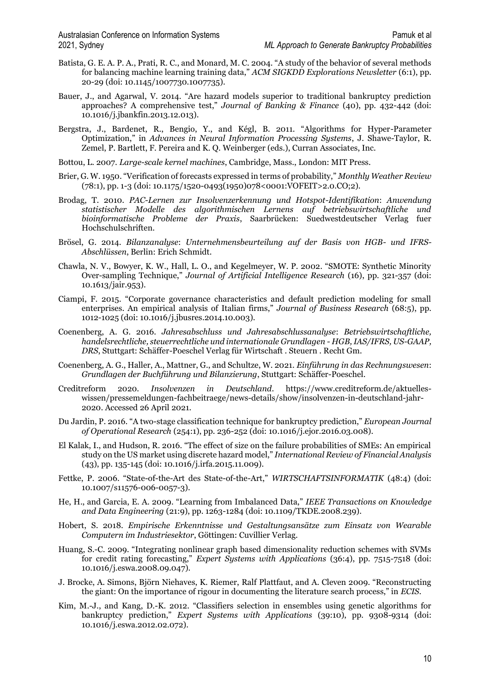- Batista, G. E. A. P. A., Prati, R. C., and Monard, M. C. 2004. "A study of the behavior of several methods for balancing machine learning training data," *ACM SIGKDD Explorations Newsletter* (6:1), pp. 20-29 (doi: 10.1145/1007730.1007735).
- Bauer, J., and Agarwal, V. 2014. "Are hazard models superior to traditional bankruptcy prediction approaches? A comprehensive test," *Journal of Banking & Finance* (40), pp. 432-442 (doi: 10.1016/j.jbankfin.2013.12.013).
- Bergstra, J., Bardenet, R., Bengio, Y., and Kégl, B. 2011. "Algorithms for Hyper-Parameter Optimization," in *Advances in Neural Information Processing Systems*, J. Shawe-Taylor, R. Zemel, P. Bartlett, F. Pereira and K. Q. Weinberger (eds.), Curran Associates, Inc.
- Bottou, L. 2007. *Large-scale kernel machines*, Cambridge, Mass., London: MIT Press.
- Brier, G. W. 1950. "Verification of forecasts expressed in terms of probability," *Monthly Weather Review* (78:1), pp. 1-3 (doi: 10.1175/1520-0493(1950)078<0001:VOFEIT>2.0.CO;2).
- Brodag, T. 2010. *PAC-Lernen zur Insolvenzerkennung und Hotspot-Identifikation*: *Anwendung statistischer Modelle des algorithmischen Lernens auf betriebswirtschaftliche und bioinformatische Probleme der Praxis*, Saarbrücken: Suedwestdeutscher Verlag fuer Hochschulschriften.
- Brösel, G. 2014. *Bilanzanalyse*: *Unternehmensbeurteilung auf der Basis von HGB- und IFRS-Abschlüssen*, Berlin: Erich Schmidt.
- Chawla, N. V., Bowyer, K. W., Hall, L. O., and Kegelmeyer, W. P. 2002. "SMOTE: Synthetic Minority Over-sampling Technique," *Journal of Artificial Intelligence Research* (16), pp. 321-357 (doi: 10.1613/jair.953).
- Ciampi, F. 2015. "Corporate governance characteristics and default prediction modeling for small enterprises. An empirical analysis of Italian firms," *Journal of Business Research* (68:5), pp. 1012-1025 (doi: 10.1016/j.jbusres.2014.10.003).
- Coenenberg, A. G. 2016. *Jahresabschluss und Jahresabschlussanalyse*: *Betriebswirtschaftliche, handelsrechtliche, steuerrechtliche und internationale Grundlagen - HGB, IAS/IFRS, US-GAAP, DRS*, Stuttgart: Schäffer-Poeschel Verlag für Wirtschaft . Steuern . Recht Gm.
- Coenenberg, A. G., Haller, A., Mattner, G., and Schultze, W. 2021. *Einführung in das Rechnungswesen*: *Grundlagen der Buchführung und Bilanzierung*, Stuttgart: Schäffer-Poeschel.
- Creditreform 2020. *Insolvenzen in Deutschland*. https://www.creditreform.de/aktuelleswissen/pressemeldungen-fachbeitraege/news-details/show/insolvenzen-in-deutschland-jahr-2020. Accessed 26 April 2021.
- Du Jardin, P. 2016. "A two-stage classification technique for bankruptcy prediction," *European Journal of Operational Research* (254:1), pp. 236-252 (doi: 10.1016/j.ejor.2016.03.008).
- El Kalak, I., and Hudson, R. 2016. "The effect of size on the failure probabilities of SMEs: An empirical study on the US market using discrete hazard model," *International Review of Financial Analysis* (43), pp. 135-145 (doi: 10.1016/j.irfa.2015.11.009).
- Fettke, P. 2006. "State-of-the-Art des State-of-the-Art," *WIRTSCHAFTSINFORMATIK* (48:4) (doi: 10.1007/s11576-006-0057-3).
- He, H., and Garcia, E. A. 2009. "Learning from Imbalanced Data," *IEEE Transactions on Knowledge and Data Engineering* (21:9), pp. 1263-1284 (doi: 10.1109/TKDE.2008.239).
- Hobert, S. 2018. *Empirische Erkenntnisse und Gestaltungsansätze zum Einsatz von Wearable Computern im Industriesektor*, Göttingen: Cuvillier Verlag.
- Huang, S.-C. 2009. "Integrating nonlinear graph based dimensionality reduction schemes with SVMs for credit rating forecasting," *Expert Systems with Applications* (36:4), pp. 7515-7518 (doi: 10.1016/j.eswa.2008.09.047).
- J. Brocke, A. Simons, Björn Niehaves, K. Riemer, Ralf Plattfaut, and A. Cleven 2009. "Reconstructing the giant: On the importance of rigour in documenting the literature search process," in *ECIS*.
- Kim, M.-J., and Kang, D.-K. 2012. "Classifiers selection in ensembles using genetic algorithms for bankruptcy prediction," *Expert Systems with Applications* (39:10), pp. 9308-9314 (doi: 10.1016/j.eswa.2012.02.072).